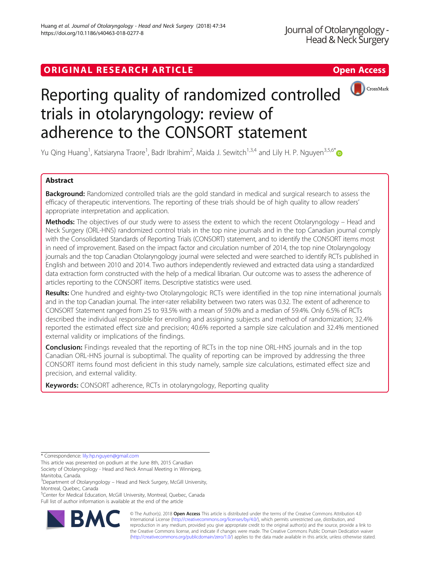## ORIGINAL RESEARCH ARTICLE **Solution Contract Contract Contract Contract Contract Contract Contract Contract Contract Contract Contract Contract Contract Contract Contract Contract Contract Contract Contract Contract Contra**



# Reporting quality of randomized controlled trials in otolaryngology: review of adherence to the CONSORT statement

Yu Qing Huang<sup>1</sup>, Katsiaryna Traore<sup>1</sup>, Badr Ibrahim<sup>2</sup>, Maida J. Sewitch<sup>1,3,4</sup> and Lily H. P. Nguyen<sup>3,5,6\*</sup>

## Abstract

**Background:** Randomized controlled trials are the gold standard in medical and surgical research to assess the efficacy of therapeutic interventions. The reporting of these trials should be of high quality to allow readers' appropriate interpretation and application.

Methods: The objectives of our study were to assess the extent to which the recent Otolaryngology – Head and Neck Surgery (ORL-HNS) randomized control trials in the top nine journals and in the top Canadian journal comply with the Consolidated Standards of Reporting Trials (CONSORT) statement, and to identify the CONSORT items most in need of improvement. Based on the impact factor and circulation number of 2014, the top nine Otolaryngology journals and the top Canadian Otolaryngology journal were selected and were searched to identify RCTs published in English and between 2010 and 2014. Two authors independently reviewed and extracted data using a standardized data extraction form constructed with the help of a medical librarian. Our outcome was to assess the adherence of articles reporting to the CONSORT items. Descriptive statistics were used.

Results: One hundred and eighty-two Otolaryngologic RCTs were identified in the top nine international journals and in the top Canadian journal. The inter-rater reliability between two raters was 0.32. The extent of adherence to CONSORT Statement ranged from 25 to 93.5% with a mean of 59.0% and a median of 59.4%. Only 6.5% of RCTs described the individual responsible for enrolling and assigning subjects and method of randomization; 32.4% reported the estimated effect size and precision; 40.6% reported a sample size calculation and 32.4% mentioned external validity or implications of the findings.

**Conclusion:** Findings revealed that the reporting of RCTs in the top nine ORL-HNS journals and in the top Canadian ORL-HNS journal is suboptimal. The quality of reporting can be improved by addressing the three CONSORT items found most deficient in this study namely, sample size calculations, estimated effect size and precision, and external validity.

Keywords: CONSORT adherence, RCTs in otolaryngology, Reporting quality

\* Correspondence: [lily.hp.nguyen@gmail.com](mailto:lily.hp.nguyen@gmail.com)

This article was presented on podium at the June 8th, 2015 Canadian Society of Otolaryngology - Head and Neck Annual Meeting in Winnipeg, Manitoba, Canada.

<sup>5</sup>Center for Medical Education, McGill University, Montreal, Quebec, Canada Full list of author information is available at the end of the article



© The Author(s). 2018 Open Access This article is distributed under the terms of the Creative Commons Attribution 4.0 International License [\(http://creativecommons.org/licenses/by/4.0/](http://creativecommons.org/licenses/by/4.0/)), which permits unrestricted use, distribution, and reproduction in any medium, provided you give appropriate credit to the original author(s) and the source, provide a link to the Creative Commons license, and indicate if changes were made. The Creative Commons Public Domain Dedication waiver [\(http://creativecommons.org/publicdomain/zero/1.0/](http://creativecommons.org/publicdomain/zero/1.0/)) applies to the data made available in this article, unless otherwise stated.

<sup>&</sup>lt;sup>3</sup>Department of Otolaryngology – Head and Neck Surgery, McGill University, Montreal, Quebec, Canada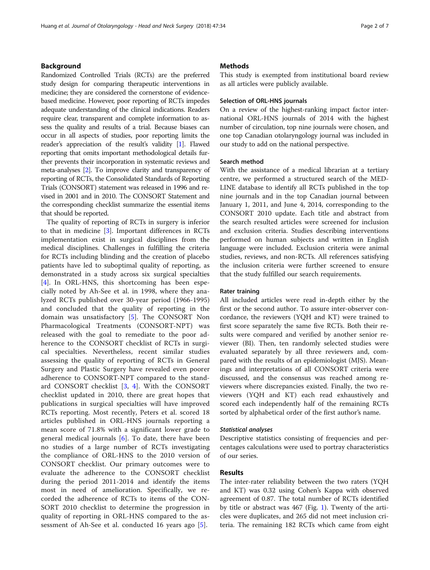## Background

Randomized Controlled Trials (RCTs) are the preferred study design for comparing therapeutic interventions in medicine; they are considered the cornerstone of evidencebased medicine. However, poor reporting of RCTs impedes adequate understanding of the clinical indications. Readers require clear, transparent and complete information to assess the quality and results of a trial. Because biases can occur in all aspects of studies, poor reporting limits the reader's appreciation of the result's validity [\[1](#page-5-0)]. Flawed reporting that omits important methodological details further prevents their incorporation in systematic reviews and meta-analyses [\[2\]](#page-5-0). To improve clarity and transparency of reporting of RCTs, the Consolidated Standards of Reporting Trials (CONSORT) statement was released in 1996 and revised in 2001 and in 2010. The CONSORT Statement and the corresponding checklist summarize the essential items that should be reported.

The quality of reporting of RCTs in surgery is inferior to that in medicine [[3\]](#page-5-0). Important differences in RCTs implementation exist in surgical disciplines from the medical disciplines. Challenges in fulfilling the criteria for RCTs including blinding and the creation of placebo patients have led to suboptimal quality of reporting, as demonstrated in a study across six surgical specialties [[4\]](#page-5-0). In ORL-HNS, this shortcoming has been especially noted by Ah-See et al. in 1998, where they analyzed RCTs published over 30-year period (1966-1995) and concluded that the quality of reporting in the domain was unsatisfactory [\[5](#page-5-0)]. The CONSORT Non Pharmacological Treatments (CONSORT-NPT) was released with the goal to remediate to the poor adherence to the CONSORT checklist of RCTs in surgical specialties. Nevertheless, recent similar studies assessing the quality of reporting of RCTs in General Surgery and Plastic Surgery have revealed even poorer adherence to CONSORT-NPT compared to the standard CONSORT checklist [\[3](#page-5-0), [4](#page-5-0)]. With the CONSORT checklist updated in 2010, there are great hopes that publications in surgical specialties will have improved RCTs reporting. Most recently, Peters et al. scored 18 articles published in ORL-HNS journals reporting a mean score of 71.8% with a significant lower grade to general medical journals  $[6]$  $[6]$ . To date, there have been no studies of a large number of RCTs investigating the compliance of ORL-HNS to the 2010 version of CONSORT checklist. Our primary outcomes were to evaluate the adherence to the CONSORT checklist during the period 2011-2014 and identify the items most in need of amelioration. Specifically, we recorded the adherence of RCTs to items of the CON-SORT 2010 checklist to determine the progression in quality of reporting in ORL-HNS compared to the assessment of Ah-See et al. conducted 16 years ago [[5](#page-5-0)].

### **Methods**

This study is exempted from institutional board review as all articles were publicly available.

## Selection of ORL-HNS journals

On a review of the highest-ranking impact factor international ORL-HNS journals of 2014 with the highest number of circulation, top nine journals were chosen, and one top Canadian otolaryngology journal was included in our study to add on the national perspective.

## Search method

With the assistance of a medical librarian at a tertiary centre, we performed a structured search of the MED-LINE database to identify all RCTs published in the top nine journals and in the top Canadian journal between January 1, 2011, and June 4, 2014, corresponding to the CONSORT 2010 update. Each title and abstract from the search resulted articles were screened for inclusion and exclusion criteria. Studies describing interventions performed on human subjects and written in English language were included. Exclusion criteria were animal studies, reviews, and non-RCTs. All references satisfying the inclusion criteria were further screened to ensure that the study fulfilled our search requirements.

#### Rater training

All included articles were read in-depth either by the first or the second author. To assure inter-observer concordance, the reviewers (YQH and KT) were trained to first score separately the same five RCTs. Both their results were compared and verified by another senior reviewer (BI). Then, ten randomly selected studies were evaluated separately by all three reviewers and, compared with the results of an epidemiologist (MJS). Meanings and interpretations of all CONSORT criteria were discussed, and the consensus was reached among reviewers where discrepancies existed. Finally, the two reviewers (YQH and KT) each read exhaustively and scored each independently half of the remaining RCTs sorted by alphabetical order of the first author's name.

#### Statistical analyses

Descriptive statistics consisting of frequencies and percentages calculations were used to portray characteristics of our series.

## Results

The inter-rater reliability between the two raters (YQH and KT) was 0.32 using Cohen's Kappa with observed agreement of 0.87. The total number of RCTs identified by title or abstract was 467 (Fig. [1](#page-2-0)). Twenty of the articles were duplicates, and 265 did not meet inclusion criteria. The remaining 182 RCTs which came from eight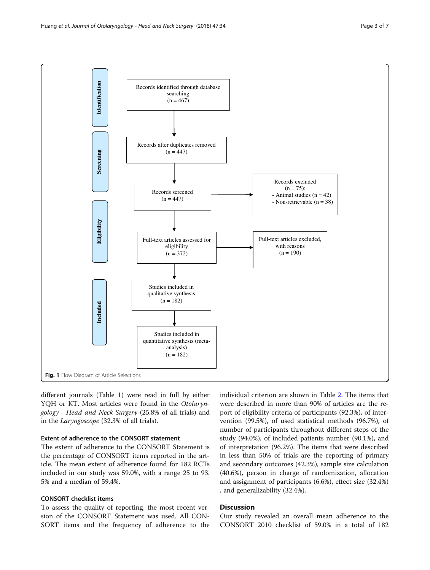<span id="page-2-0"></span>

different journals (Table [1](#page-3-0)) were read in full by either YQH or KT. Most articles were found in the Otolaryngology - Head and Neck Surgery (25.8% of all trials) and in the Laryngoscope (32.3% of all trials).

## Extent of adherence to the CONSORT statement

The extent of adherence to the CONSORT Statement is the percentage of CONSORT items reported in the article. The mean extent of adherence found for 182 RCTs included in our study was 59.0%, with a range 25 to 93. 5% and a median of 59.4%.

## CONSORT checklist items

To assess the quality of reporting, the most recent version of the CONSORT Statement was used. All CON-SORT items and the frequency of adherence to the individual criterion are shown in Table [2.](#page-4-0) The items that were described in more than 90% of articles are the report of eligibility criteria of participants (92.3%), of intervention (99.5%), of used statistical methods (96.7%), of number of participants throughout different steps of the study (94.0%), of included patients number (90.1%), and of interpretation (96.2%). The items that were described in less than 50% of trials are the reporting of primary and secondary outcomes (42.3%), sample size calculation (40.6%), person in charge of randomization, allocation and assignment of participants (6.6%), effect size (32.4%) , and generalizability (32.4%).

## **Discussion**

Our study revealed an overall mean adherence to the CONSORT 2010 checklist of 59.0% in a total of 182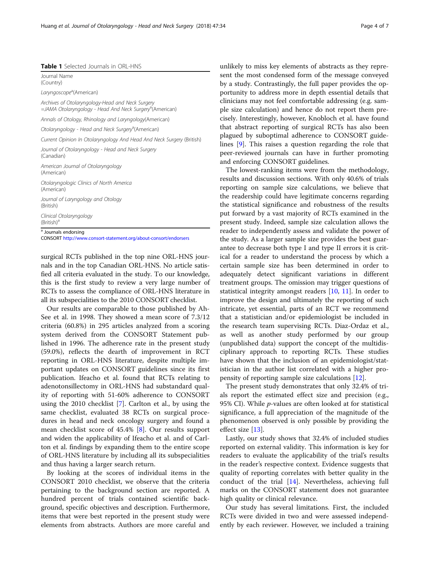#### <span id="page-3-0"></span>Table 1 Selected Journals in ORL-HNS

| <sup>a</sup> Journals endorsing<br>CONSORT http://www.consort-statement.org/about-consort/endorsers                      |  |  |  |
|--------------------------------------------------------------------------------------------------------------------------|--|--|--|
| Clinical Otolaryngology<br>$(British)^a$                                                                                 |  |  |  |
| Journal of Laryngology and Otology<br>(British)                                                                          |  |  |  |
| Otolaryngologic Clinics of North America<br>(American)                                                                   |  |  |  |
| American Journal of Otolaryngology<br>(American)                                                                         |  |  |  |
| Journal of Otolaryngology - Head and Neck Surgery<br>(Canadian)                                                          |  |  |  |
| Current Opinion In Otolaryngology And Head And Neck Surgery (British)                                                    |  |  |  |
| Otolaryngology - Head and Neck Surgery <sup>3</sup> (American)                                                           |  |  |  |
| Annals of Otology, Rhinology and Laryngology(American)                                                                   |  |  |  |
| Archives of Otolaryngology-Head and Neck Surgery<br>=JAMA Otolaryngology - Head And Neck Surgery <sup>a</sup> (American) |  |  |  |
| Laryngoscope <sup>a</sup> (American)                                                                                     |  |  |  |
| Journal Name<br>(Country)                                                                                                |  |  |  |

surgical RCTs published in the top nine ORL-HNS journals and in the top Canadian ORL-HNS. No article satisfied all criteria evaluated in the study. To our knowledge, this is the first study to review a very large number of RCTs to assess the compliance of ORL-HNS literature in all its subspecialities to the 2010 CONSORT checklist.

Our results are comparable to those published by Ah-See et al. in 1998. They showed a mean score of 7.3/12 criteria (60.8%) in 295 articles analyzed from a scoring system derived from the CONSORT Statement published in 1996. The adherence rate in the present study (59.0%), reflects the dearth of improvement in RCT reporting in ORL-HNS literature, despite multiple important updates on CONSORT guidelines since its first publication. Ifeacho et al. found that RCTs relating to adenotonsillectomy in ORL-HNS had substandard quality of reporting with 51-60% adherence to CONSORT using the 2010 checklist [\[7](#page-5-0)]. Carlton et al., by using the same checklist, evaluated 38 RCTs on surgical procedures in head and neck oncology surgery and found a mean checklist score of 45.4% [\[8](#page-5-0)]. Our results support and widen the applicability of Ifeacho et al. and of Carlton et al. findings by expanding them to the entire scope of ORL-HNS literature by including all its subspecialities and thus having a larger search return.

By looking at the scores of individual items in the CONSORT 2010 checklist, we observe that the criteria pertaining to the background section are reported. A hundred percent of trials contained scientific background, specific objectives and description. Furthermore, items that were best reported in the present study were elements from abstracts. Authors are more careful and unlikely to miss key elements of abstracts as they represent the most condensed form of the message conveyed by a study. Contrastingly, the full paper provides the opportunity to address more in depth essential details that clinicians may not feel comfortable addressing (e.g. sample size calculation) and hence do not report them precisely. Interestingly, however, Knobloch et al. have found that abstract reporting of surgical RCTs has also been plagued by suboptimal adherence to CONSORT guidelines [[9\]](#page-5-0). This raises a question regarding the role that peer-reviewed journals can have in further promoting and enforcing CONSORT guidelines.

The lowest-ranking items were from the methodology, results and discussion sections. With only 40.6% of trials reporting on sample size calculations, we believe that the readership could have legitimate concerns regarding the statistical significance and robustness of the results put forward by a vast majority of RCTs examined in the present study. Indeed, sample size calculation allows the reader to independently assess and validate the power of the study. As a larger sample size provides the best guarantee to decrease both type I and type II errors it is critical for a reader to understand the process by which a certain sample size has been determined in order to adequately detect significant variations in different treatment groups. The omission may trigger questions of statistical integrity amongst readers [\[10](#page-5-0), [11\]](#page-5-0). In order to improve the design and ultimately the reporting of such intricate, yet essential, parts of an RCT we recommend that a statistician and/or epidemiologist be included in the research team supervising RCTs. Diaz-Ordaz et al., as well as another study performed by our group (unpublished data) support the concept of the multidisciplinary approach to reporting RCTs. These studies have shown that the inclusion of an epidemiologist/statistician in the author list correlated with a higher propensity of reporting sample size calculations [\[12\]](#page-6-0).

The present study demonstrates that only 32.4% of trials report the estimated effect size and precision (e.g., 95% CI). While p-values are often looked at for statistical significance, a full appreciation of the magnitude of the phenomenon observed is only possible by providing the effect size [\[13\]](#page-6-0).

Lastly, our study shows that 32.4% of included studies reported on external validity. This information is key for readers to evaluate the applicability of the trial's results in the reader's respective context. Evidence suggests that quality of reporting correlates with better quality in the conduct of the trial [[14](#page-6-0)]. Nevertheless, achieving full marks on the CONSORT statement does not guarantee high quality or clinical relevance.

Our study has several limitations. First, the included RCTs were divided in two and were assessed independently by each reviewer. However, we included a training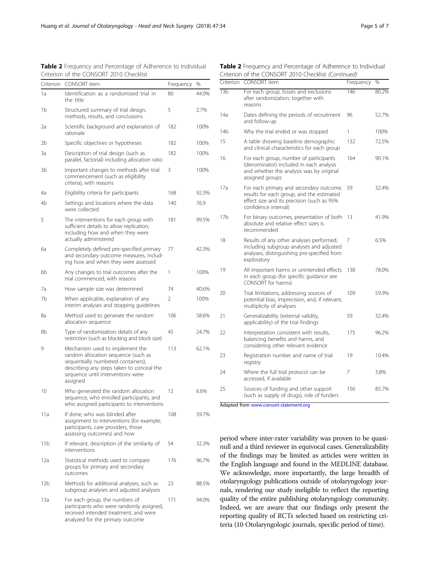| Criterion | <b>CONSORT</b> item                                                                                                                                                                                        | Frequency | %     |
|-----------|------------------------------------------------------------------------------------------------------------------------------------------------------------------------------------------------------------|-----------|-------|
| 1a        | Identification as a randomized trial in                                                                                                                                                                    | 80        | 44.0% |
|           | the title                                                                                                                                                                                                  |           |       |
| 1b        | Structured summary of trial design,<br>methods, results, and conclusions                                                                                                                                   | 5         | 2.7%  |
| 2a        | Scientific background and explanation of<br>rationale                                                                                                                                                      | 182       | 100%  |
| 2b        | Specific objectives or hypotheses                                                                                                                                                                          | 182       | 100%  |
| 3a        | Description of trial design (such as<br>parallel, factorial) including allocation ratio                                                                                                                    | 182       | 100%  |
| 3b        | Important changes to methods after trial<br>commencement (such as eligibility<br>criteria), with reasons                                                                                                   | 3         | 100%  |
| 4a        | Eligibility criteria for participants                                                                                                                                                                      | 168       | 92.3% |
| 4b        | Settings and locations where the data<br>were collected                                                                                                                                                    | 140       | 76.9  |
| 5         | The interventions for each group with<br>sufficient details to allow replication,<br>including how and when they were<br>actually administered                                                             | 181       | 99.5% |
| ба        | Completely defined pre-specified primary<br>and secondary outcome measures, includ-<br>ing how and when they were assessed                                                                                 | 77        | 42.3% |
| 6b        | Any changes to trial outcomes after the<br>trial commenced, with reasons                                                                                                                                   | 1         | 100%  |
| 7a        | How sample size was determined                                                                                                                                                                             | 74        | 40.6% |
| 7b        | When applicable, explanation of any<br>interim analyses and stopping guidelines                                                                                                                            | 2         | 100%  |
| 8a        | Method used to generate the random<br>allocation sequence                                                                                                                                                  | 106       | 58.6% |
| 8b        | Type of randomization; details of any<br>restriction (such as blocking and block size)                                                                                                                     | 45        | 24.7% |
| 9         | Mechanism used to implement the<br>random allocation sequence (such as<br>sequentially numbered containers),<br>describing any steps taken to conceal the<br>sequence until interventions were<br>assigned | 113       | 62.1% |
| 10        | Who generated the random allocation<br>sequence, who enrolled participants, and<br>who assigned participants to interventions                                                                              | 12        | 6.6%  |
| 11a       | If done, who was blinded after<br>assignment to interventions (for example,<br>participants, care providers, those<br>assessing outcomes) and how                                                          | 108       | 59.7% |
| 11b       | If relevant, description of the similarity of<br>interventions                                                                                                                                             | 54        | 32.3% |
| 12a       | Statistical methods used to compare<br>groups for primary and secondary<br>outcomes                                                                                                                        | 176       | 96.7% |
| 12b       | Methods for additional analyses, such as<br>subgroup analyses and adjusted analyses                                                                                                                        | 23        | 88.5% |
| 13a       | For each group, the numbers of<br>participants who were randomly assigned,<br>received intended treatment, and were<br>analyzed for the primary outcome                                                    | 171       | 94.0% |

<span id="page-4-0"></span>Table 2 Frequency and Percentage of Adherence to Individual Criterion of the CONSORT 2010 Checklist

| Table 2 Frequency and Percentage of Adherence to Individual |  |
|-------------------------------------------------------------|--|
| Criterion of the CONSORT 2010 Checklist (Continued)         |  |

| Criterion       | <b>CONSORT</b> item                                                                                                                                        | Frequency       | %     |
|-----------------|------------------------------------------------------------------------------------------------------------------------------------------------------------|-----------------|-------|
| 13 <sub>b</sub> | For each group, losses and exclusions<br>after randomization, together with<br>reasons                                                                     | $\frac{1}{146}$ | 80.2% |
| 14a             | Dates defining the periods of recruitment<br>and follow-up                                                                                                 | 96              | 52.7% |
| 14b             | Why the trial ended or was stopped                                                                                                                         | 1               | 100%  |
| 15              | A table showing baseline demographic<br>and clinical characteristics for each group                                                                        | 132             | 72.5% |
| 16              | For each group, number of participants<br>(denominator) included in each analysis<br>and whether the analysis was by original<br>assigned groups           | 164             | 90.1% |
| 17a             | For each primary and secondary outcome,<br>results for each group, and the estimated<br>effect size and its precision (such as 95%<br>confidence interval) | 59              | 32.4% |
| 17 <sub>b</sub> | For binary outcomes, presentation of both<br>absolute and relative effect sizes is<br>recommended                                                          | 13              | 41.9% |
| 18              | Results of any other analyses performed,<br>including subgroup analyses and adjusted<br>analyses, distinguishing pre-specified from<br>exploratory         | 7               | 6.5%  |
| 19              | All important harms or unintended effects<br>in each group (for specific guidance see<br>CONSORT for harms)                                                | 138             | 78.0% |
| 20              | Trial limitations, addressing sources of<br>potential bias, imprecision, and, if relevant,<br>multiplicity of analyses                                     | 109             | 59.9% |
| 21              | Generalizability (external validity,<br>applicability) of the trial findings                                                                               | 59              | 32.4% |
| 22              | Interpretation consistent with results,<br>balancing benefits and harms, and<br>considering other relevant evidence                                        | 175             | 96.2% |
| 23              | Registration number and name of trial<br>registry                                                                                                          | 19              | 10.4% |
| 24              | Where the full trial protocol can be<br>accessed, if available                                                                                             | 7               | 3.8%  |
| 25              | Sources of funding and other support<br>(such as supply of drugs), role of funders                                                                         | 156             | 85.7% |

Adapted from [www.consort-statement.org](http://www.consort-statement.org)

period where inter-rater variability was proven to be quasinull and a third reviewer in equivocal cases. Generalizability of the findings may be limited as articles were written in the English language and found in the MEDLINE database. We acknowledge, more importantly, the large breadth of otolaryngology publications outside of otolaryngology journals, rendering our study ineligible to reflect the reporting quality of the entire publishing otolaryngology community. Indeed, we are aware that our findings only present the reporting quality of RCTs selected based on restricting criteria (10 Otolaryngologic journals, specific period of time).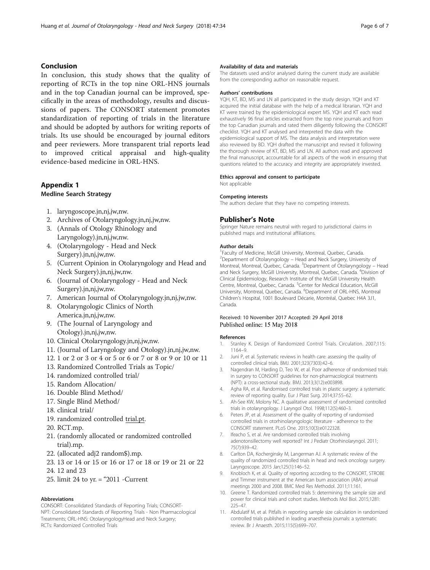## <span id="page-5-0"></span>Conclusion

In conclusion, this study shows that the quality of reporting of RCTs in the top nine ORL-HNS journals and in the top Canadian journal can be improved, specifically in the areas of methodology, results and discussions of papers. The CONSORT statement promotes standardization of reporting of trials in the literature and should be adopted by authors for writing reports of trials. Its use should be encouraged by journal editors and peer reviewers. More transparent trial reports lead to improved critical appraisal and high-quality evidence-based medicine in ORL-HNS.

## Appendix 1

## Medline Search Strategy

- 1. laryngoscope.jn,nj,jw,nw.
- 2. Archives of Otolaryngology.jn,nj,jw,nw.
- 3. (Annals of Otology Rhinology and Laryngology).jn,nj,jw,nw.
- 4. (Otolaryngology Head and Neck Surgery).jn,nj,jw,nw.
- 5. (Current Opinion in Otolaryngology and Head and Neck Surgery).jn,nj,jw,nw.
- 6. (Journal of Otolaryngology Head and Neck Surgery).jn,nj,jw,nw.
- 7. American Journal of Otolaryngology.jn,nj,jw,nw.
- 8. Otolaryngologic Clinics of North America.jn,nj,jw,nw.
- 9. (The Journal of Laryngology and Otology).jn,nj,jw,nw.
- 10. Clinical Otolaryngology.jn,nj,jw,nw.
- 11. (Journal of Laryngology and Otology).jn,nj,jw,nw.
- 12. 1 or 2 or 3 or 4 or 5 or 6 or 7 or 8 or 9 or 10 or 11
- 13. Randomized Controlled Trials as Topic/
- 14. randomized controlled trial/
- 15. Random Allocation/
- 16. Double Blind Method/
- 17. Single Blind Method/
- 18. clinical trial/
- 19. randomized controlled trial.pt.
- 20. RCT.mp.
- 21. (randomly allocated or randomized controlled trial).mp.
- 22. (allocated adj2 random\$).mp.
- 23. 13 or 14 or 15 or 16 or 17 or 18 or 19 or 21 or 22
- 24. 12 and 23
- 25. limit 24 to yr. = "2011 -Current

## Abbreviations

CONSORT: Consolidated Standards of Reporting Trials; CONSORT-NPT: Consolidated Standards of Reporting Trials - Non Pharmacological Treatments; ORL-HNS: OtolaryngologyHead and Neck Surgery; RCTs: Randomized Controlled Trials

#### Availability of data and materials

The datasets used and/or analysed during the current study are available from the corresponding author on reasonable request.

#### Authors' contributions

YQH, KT, BD, MS and LN all participated in the study design. YQH and KT acquired the initial database with the help of a medical librarian. YQH and KT were trained by the epidemiological expert MS. YQH and KT each read exhaustively 96 final articles extracted from the top nine journals and from the top Canadian journals and rated them diligently following the CONSORT checklist. YQH and KT analysed and interpreted the data with the epidemiological support of MS. The data analysis and interpretation were also reviewed by BD. YQH drafted the manuscript and revised it following the thorough review of KT, BD, MS and LN. All authors read and approved the final manuscript, accountable for all aspects of the work in ensuring that questions related to the accuracy and integrity are appropriately invested.

## Ethics approval and consent to participate

Not applicable

#### Competing interests

The authors declare that they have no competing interests.

## Publisher's Note

Springer Nature remains neutral with regard to jurisdictional claims in published maps and institutional affiliations.

#### Author details

<sup>1</sup> Faculty of Medicine, McGill University, Montreal, Quebec, Canada. <sup>2</sup>Department of Otolaryngology - Head and Neck Surgery, University of Montreal, Montreal, Quebec, Canada. <sup>3</sup>Department of Otolaryngology - Head and Neck Surgery, McGill University, Montreal, Quebec, Canada. <sup>4</sup>Division of Clinical Epidemiology, Research Institute of the McGill University Health Centre, Montreal, Quebec, Canada. <sup>5</sup>Center for Medical Education, McGil University, Montreal, Quebec, Canada. <sup>6</sup>Department of ORL-HNS, Montreal Children's Hospital, 1001 Boulevard Décarie, Montréal, Quebec H4A 3J1, Canada.

### Received: 10 November 2017 Accepted: 29 April 2018 Published online: 15 May 2018

#### References

- 1. Stanley K. Design of Randomized Control Trials. Circulation. 2007;115: 1164–9.
- 2. Juni P, et al. Systematic reviews in health care: assessing the quality of controlled clinical trials. BMJ. 2001;323(7303):42–6.
- 3. Nagendran M, Harding D, Teo W, et al. Poor adherence of randomised trials in surgery to CONSORT guidelines for non-pharmacological treatments (NPT): a cross-sectional study. BMJ. 2013;3(12):e003898.
- 4. Agha RA, et al. Randomised controlled trials in plastic surgery: a systematic review of reporting quality. Eur J Plast Surg. 2014;37:55–62.
- 5. Ah-See KW, Molony NC. A qualitative assessment of randomized controlled trials in otolaryngology. J Laryngol Otol. 1998;112(5):460–3.
- 6. Peters JP, et al. Assessment of the quality of reporting of randomised controlled trials in otorhinolaryngologic literature - adherence to the CONSORT statement. PLoS One. 2015;10(3):e0122328.
- 7. Ifeacho S, et al. Are randomised controlled trials involving adenotonsillectomy well reported? Int J Pediatr Otorhinolaryngol. 2011; 75(7):939–42.
- 8. Carlton DA, Kocherginsky M, Langerman AJ. A systematic review of the quality of randomized controlled trials in head and neck oncology surgery. Laryngoscope. 2015 Jan;125(1):146–52.
- 9. Knobloch K, et al. Quality of reporting according to the CONSORT, STROBE and Timmer instrument at the American burn association (ABA) annual meetings 2000 and 2008. BMC Med Res Methodol. 2011;11:161.
- 10. Greene T. Randomized controlled trials 5: determining the sample size and power for clinical trials and cohort studies. Methods Mol Biol. 2015;1281: 225–47.
- 11. Abdulatif M, et al. Pitfalls in reporting sample size calculation in randomized controlled trials published in leading anaesthesia journals: a systematic review. Br J Anaesth. 2015;115(5):699–707.